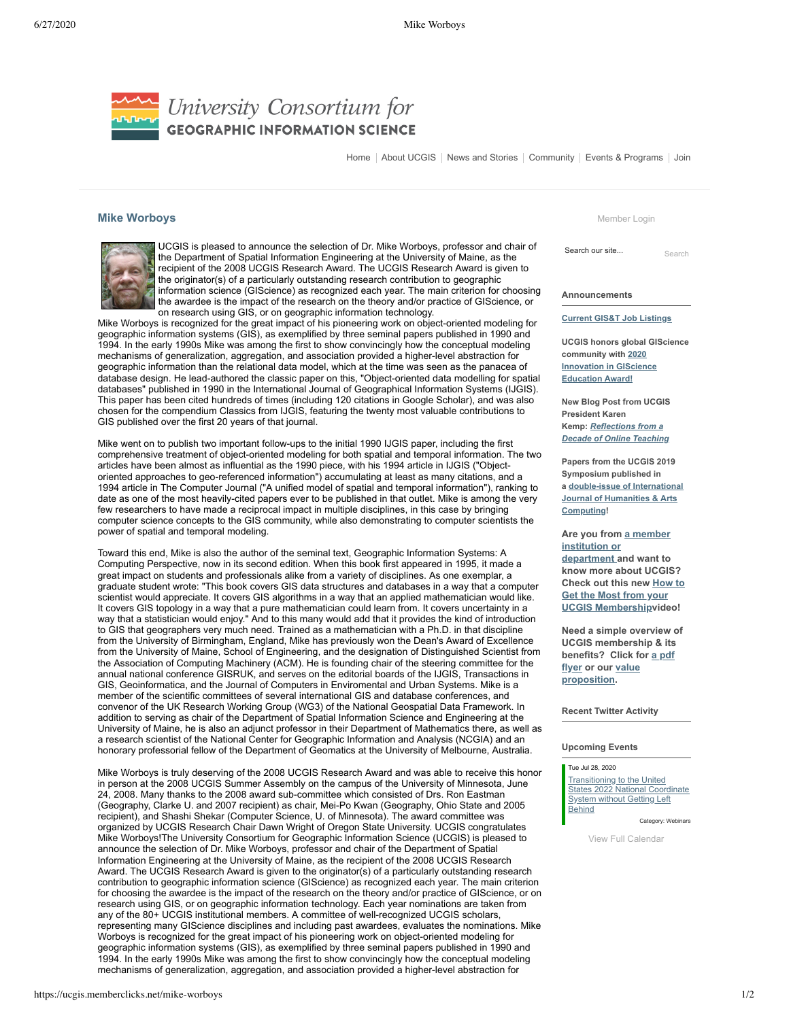

[Home](https://ucgis.memberclicks.net/) | [About UCG](https://ucgis.memberclicks.net/)IS | [News and Stories](https://ucgis.memberclicks.net/news-and-stories) | Community | Events & Programs | Join

## **Mike Worboys**



UCGIS is pleased to announce the selection of Dr. Mike Worboys, professor and chair of the Department of Spatial Information Engineering at the University of Maine, as the recipient of the 2008 UCGIS Research Award. The UCGIS Research Award is given to the originator(s) of a particularly outstanding research contribution to geographic information science (GIScience) as recognized each year. The main criterion for choosing the awardee is the impact of the research on the theory and/or practice of GIScience, or on research using GIS, or on geographic information technology.

Mike Worboys is recognized for the great impact of his pioneering work on object-oriented modeling for geographic information systems (GIS), as exemplified by three seminal papers published in 1990 and 1994. In the early 1990s Mike was among the first to show convincingly how the conceptual modeling mechanisms of generalization, aggregation, and association provided a higher-level abstraction for geographic information than the relational data model, which at the time was seen as the panacea of database design. He lead-authored the classic paper on this, "Object-oriented data modelling for spatial databases" published in 1990 in the International Journal of Geographical Information Systems (IJGIS). This paper has been cited hundreds of times (including 120 citations in Google Scholar), and was also chosen for the compendium Classics from IJGIS, featuring the twenty most valuable contributions to GIS published over the first 20 years of that journal.

Mike went on to publish two important follow-ups to the initial 1990 IJGIS paper, including the first comprehensive treatment of object-oriented modeling for both spatial and temporal information. The two articles have been almost as influential as the 1990 piece, with his 1994 article in IJGIS ("Objectoriented approaches to geo-referenced information") accumulating at least as many citations, and a 1994 article in The Computer Journal ("A unified model of spatial and temporal information"), ranking to date as one of the most heavily-cited papers ever to be published in that outlet. Mike is among the very few researchers to have made a reciprocal impact in multiple disciplines, in this case by bringing computer science concepts to the GIS community, while also demonstrating to computer scientists the power of spatial and temporal modeling.

Toward this end, Mike is also the author of the seminal text, Geographic Information Systems: A Computing Perspective, now in its second edition. When this book first appeared in 1995, it made a great impact on students and professionals alike from a variety of disciplines. As one exemplar, a graduate student wrote: "This book covers GIS data structures and databases in a way that a computer scientist would appreciate. It covers GIS algorithms in a way that an applied mathematician would like. It covers GIS topology in a way that a pure mathematician could learn from. It covers uncertainty in a way that a statistician would enjoy." And to this many would add that it provides the kind of introduction to GIS that geographers very much need. Trained as a mathematician with a Ph.D. in that discipline from the University of Birmingham, England, Mike has previously won the Dean's Award of Excellence from the University of Maine, School of Engineering, and the designation of Distinguished Scientist from the Association of Computing Machinery (ACM). He is founding chair of the steering committee for the annual national conference GISRUK, and serves on the editorial boards of the IJGIS, Transactions in GIS, Geoinformatica, and the Journal of Computers in Enviromental and Urban Systems. Mike is a member of the scientific committees of several international GIS and database conferences, and convenor of the UK Research Working Group (WG3) of the National Geospatial Data Framework. In addition to serving as chair of the Department of Spatial Information Science and Engineering at the University of Maine, he is also an adjunct professor in their Department of Mathematics there, as well as a research scientist of the National Center for Geographic Information and Analysis (NCGIA) and an honorary professorial fellow of the Department of Geomatics at the University of Melbourne, Australia.

Mike Worboys is truly deserving of the 2008 UCGIS Research Award and was able to receive this honor in person at the 2008 UCGIS Summer Assembly on the campus of the University of Minnesota, June 24, 2008. Many thanks to the 2008 award sub-committee which consisted of Drs. Ron Eastman (Geography, Clarke U. and 2007 recipient) as chair, Mei-Po Kwan (Geography, Ohio State and 2005 recipient), and Shashi Shekar (Computer Science, U. of Minnesota). The award committee was organized by UCGIS Research Chair Dawn Wright of Oregon State University. UCGIS congratulates Mike Worboys!The University Consortium for Geographic Information Science (UCGIS) is pleased to announce the selection of Dr. Mike Worboys, professor and chair of the Department of Spatial Information Engineering at the University of Maine, as the recipient of the 2008 UCGIS Research Award. The UCGIS Research Award is given to the originator(s) of a particularly outstanding research contribution to geographic information science (GIScience) as recognized each year. The main criterion for choosing the awardee is the impact of the research on the theory and/or practice of GIScience, or on research using GIS, or on geographic information technology. Each year nominations are taken from any of the 80+ UCGIS institutional members. A committee of well-recognized UCGIS scholars, representing many GIScience disciplines and including past awardees, evaluates the nominations. Mike Worboys is recognized for the great impact of his pioneering work on object-oriented modeling for geographic information systems (GIS), as exemplified by three seminal papers published in 1990 and 1994. In the early 1990s Mike was among the first to show convincingly how the conceptual modeling mechanisms of generalization, aggregation, and association provided a higher-level abstraction for

[Member Login](https://ucgis.memberclicks.net/login)

[Search](https://ucgis.memberclicks.net/mike-worboys#) our site... Search

**Announcements**

**[Current GIS&T Job Listings](https://ucgis.memberclicks.net/job-listings)**

**UCGIS honors global GIScience community with 2020 [Innovation in GIScience](https://ucgis.memberclicks.net/global-innovation-in-giscience-education-award) Education Award!**

**New Blog Post from UCGIS President Karen Kemp:** *Reflections from a [Decade of Online Teaching](https://www.ucgis.org/index.php?option=com_dailyplanetblog&view=entry&year=2020&month=05&day=17&id=29:reflections-from-a-decade-of-online-teaching)*

**Papers from the UCGIS 2019 Symposium published in a double-issue of International [Journal of Humanities & Arts](https://www.euppublishing.com/toc/ijhac/14/1-2) Computing!**

**[Are you from](https://ucgis.memberclicks.net/members) a member institution or department and want to know more about UCGIS? Check out this new How to Get the Most from your [UCGIS Membershipvideo!](https://www.youtube.com/watch?v=uglKI91XTJU&t)** 

**Need a simple overview of UCGIS membership & its [benefits? Click for a pdf](https://ucgis.memberclicks.net/assets/docs/UCGIS_Membership_Flyer_Spring2019.pdf) flyer or our value [proposition.](https://ucgis.memberclicks.net/assets/docs/UCGIS_Membership_Value_Proposition_2020.pdf)** 

**Recent Twitter Activity**

## **Upcoming Events**

## Tue Jul 28, 2020

**Transitioning to the United** [States 2022 National Coordinate](https://ucgis.memberclicks.net/index.php?option=com_jevents&task=icalrepeat.detail&evid=105&Itemid=115&year=2020&month=07&day=28&title=transitioning-to-the-united-states-2022-national-coordinate-system-without-getting-left-behind&uid=e5bf437a0e7271e4e142aef1f4a38567) **System without Getting Left Behind** 

Category: Webinars

[View Full Calendar](https://ucgis.memberclicks.net/index.php?option=com_jevents&Itemid=115&task=.)